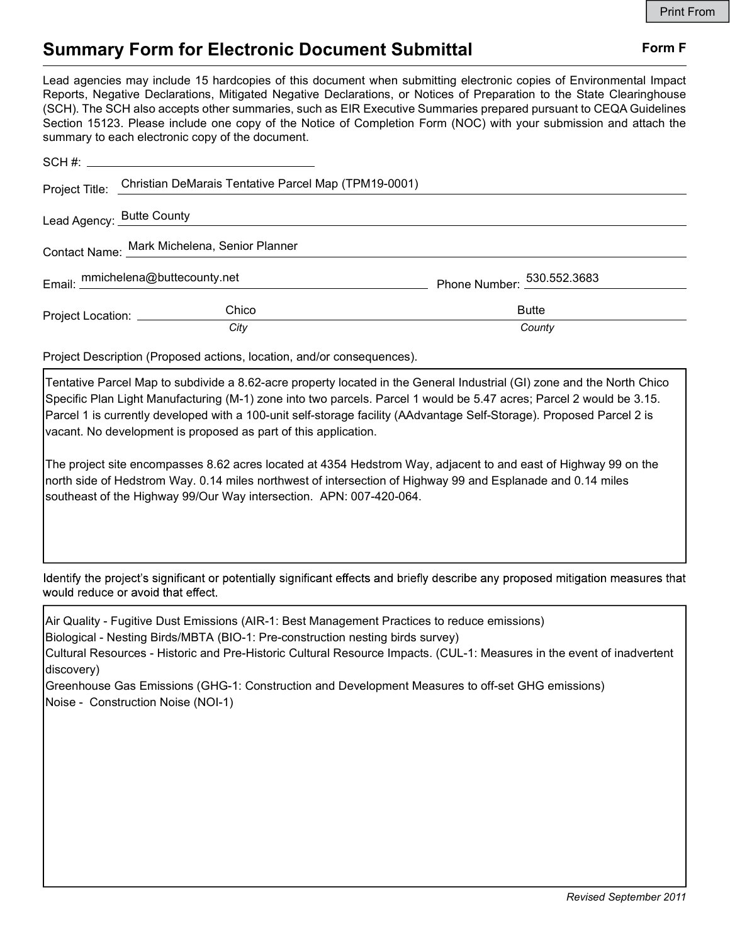## Summary Form for Electronic Document Submittal Form F

Lead agencies may include 15 hardcopies of this document when submitting electronic copies of Environmental Impact Reports, Negative Declarations, Mitigated Negative Declarations, or Notices of Preparation to the State Clearinghouse (SCH). The SCH also accepts other summaries, such as EIR Executive Summaries prepared pursuant to CEQA Guidelines Section 15123. Please include one copy of the Notice of Completion Form (NOC) with your submission and attach the summary to each electronic copy of the document.

|                                              | Project Title: Christian DeMarais Tentative Parcel Map (TPM19-0001) |                            |
|----------------------------------------------|---------------------------------------------------------------------|----------------------------|
|                                              | Lead Agency: Butte County Management County                         |                            |
| Contact Name: Mark Michelena, Senior Planner |                                                                     |                            |
|                                              | Email: mmichelena@buttecounty.net                                   | Phone Number: 530.552.3683 |
|                                              | Chico<br>Project Location: ______________                           | <b>Butte</b>               |
|                                              | City                                                                | County                     |

Project Description (Proposed actions, location, and/or consequences).

Tentative Parcel Map to subdivide a 8.62-acre property located in the General Industrial (GI) zone and the North Chico Specific Plan Light Manufacturing (M-1) zone into two parcels. Parcel 1 would be 5.47 acres; Parcel 2 would be 3.15. Parcel 1 is currently developed with a 100-unit self-storage facility (AAdvantage Self-Storage). Proposed Parcel 2 is vacant. No development is proposed as part of this application.

The project site encompasses 8.62 acres located at 4354 Hedstrom Way, adjacent to and east of Highway 99 on the north side of Hedstrom Way. 0.14 miles northwest of intersection of Highway 99 and Esplanade and 0.14 miles southeast of the Highway 99/Our Way intersection. APN: 007-420-064.

Identify the project's significant or potentially significant effects and briefly describe any proposed mitigation measures that would reduce or avoid that effect.

Air Quality - Fugitive Dust Emissions (AIR-1: Best Management Practices to reduce emissions) Biological - Nesting Birds/MBTA (BIO-1: Pre-construction nesting birds survey)

Cultural Resources - Historic and Pre-Historic Cultural Resource Impacts. (CUL-1: Measures in the event of inadvertent discovery)

Greenhouse Gas Emissions (GHG-1: Construction and Development Measures to off-set GHG emissions) Noise - Construction Noise (NOI-1)